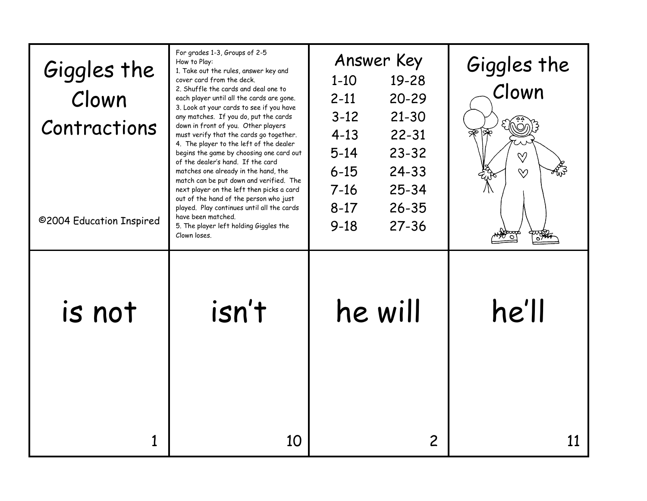| Giggles the<br>Clown<br>Contractions<br>@2004 Education Inspired | For grades 1-3, Groups of 2-5<br>How to Play:<br>1. Take out the rules, answer key and<br>cover card from the deck.<br>2. Shuffle the cards and deal one to<br>each player until all the cards are gone.<br>3. Look at your cards to see if you have<br>any matches. If you do, put the cards<br>down in front of you. Other players<br>must verify that the cards go together.<br>4. The player to the left of the dealer<br>begins the game by choosing one card out<br>of the dealer's hand. If the card<br>matches one already in the hand, the<br>match can be put down and verified. The<br>next player on the left then picks a card<br>out of the hand of the person who just<br>played. Play continues until all the cards<br>have been matched.<br>5. The player left holding Giggles the<br>Clown loses. | Answer Key<br>19-28<br>$1 - 10$<br>$20 - 29$<br>$2 - 11$<br>$3 - 12$<br>$21 - 30$<br>$4 - 13$<br>$22 - 31$<br>$5 - 14$<br>$23 - 32$<br>$24 - 33$<br>$6 - 15$<br>$25 - 34$<br>$7 - 16$<br>$26 - 35$<br>$8 - 17$<br>$27 - 36$<br>$9 - 18$ | Giggles the<br>Clown<br>$\heartsuit$<br>$\infty$ |
|------------------------------------------------------------------|---------------------------------------------------------------------------------------------------------------------------------------------------------------------------------------------------------------------------------------------------------------------------------------------------------------------------------------------------------------------------------------------------------------------------------------------------------------------------------------------------------------------------------------------------------------------------------------------------------------------------------------------------------------------------------------------------------------------------------------------------------------------------------------------------------------------|-----------------------------------------------------------------------------------------------------------------------------------------------------------------------------------------------------------------------------------------|--------------------------------------------------|
| is not                                                           | isn't                                                                                                                                                                                                                                                                                                                                                                                                                                                                                                                                                                                                                                                                                                                                                                                                               | he will                                                                                                                                                                                                                                 | he'll                                            |
|                                                                  | 10                                                                                                                                                                                                                                                                                                                                                                                                                                                                                                                                                                                                                                                                                                                                                                                                                  | 2                                                                                                                                                                                                                                       |                                                  |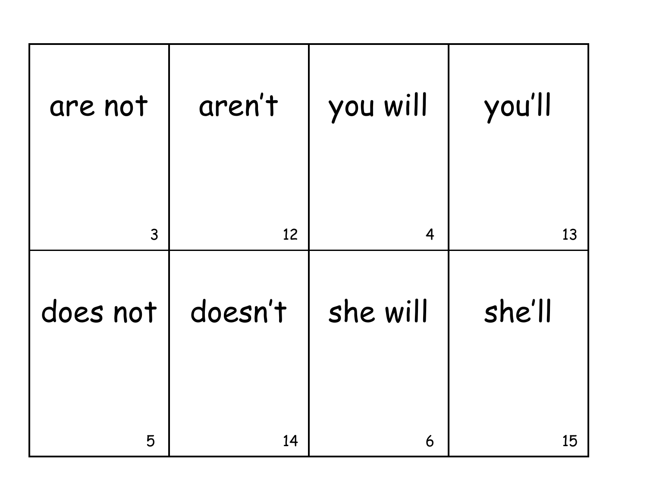| are not  | aren't  | you will | you'll |
|----------|---------|----------|--------|
| 3        | 12      | 4        | 13     |
| does not | doesn't | she will | she'll |
| 5        | 14      | 6        | 15     |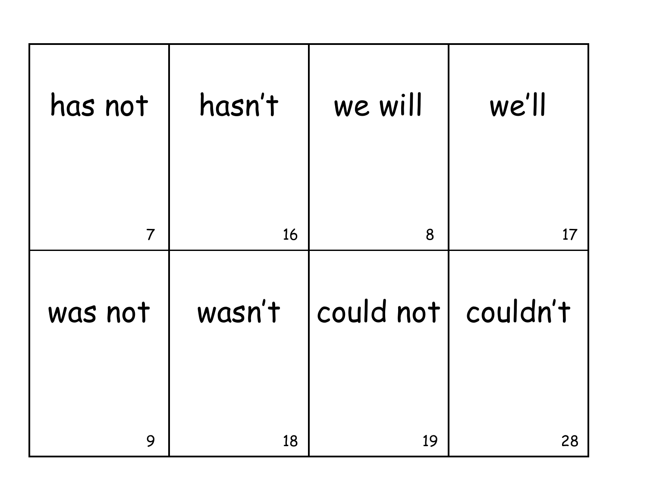| has not        | hasn't | we will            | we'll |
|----------------|--------|--------------------|-------|
| $\overline{7}$ | 16     | 8                  | 17    |
| was not        | wasn't | could not couldn't |       |
| 9              | 18     | 19                 | 28    |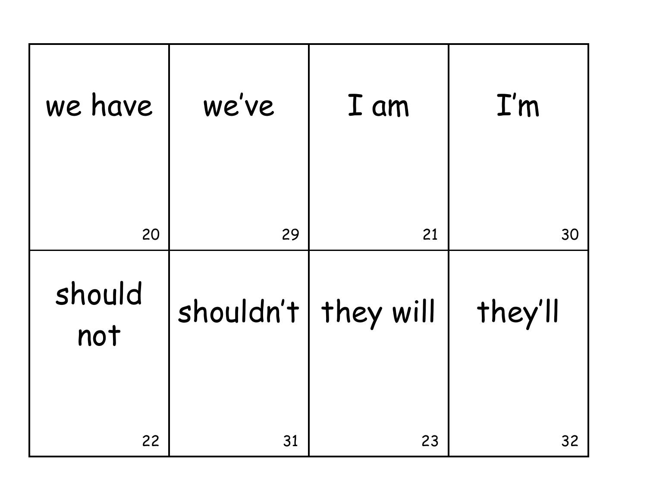| we have       | we've                 | I am | I'm     |
|---------------|-----------------------|------|---------|
| 20            | 29                    | 21   | 30      |
| should<br>not | shouldn't   they will |      | they'll |
| 22            | 31                    | 23   | 32      |